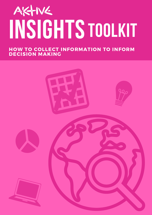# INSIGHTS TOOLKIT

HOW TO COLLECT INFORMATION TO INFORM DECISION MAKING

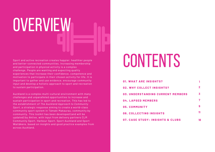OVERVIEW

Sport and active recreation creates happier, healthier people and better-connected communities. Increasing membership and participation in physical activity is a complex challenge. People are wanting and expecting quality experiences that increase their confidence, competence and motivation to participate in their chosen activity for life. It is important to gather and use evidence, encourage community input and develop a holistic approach to sport and recreation to sustain participation.

Auckland is a complex multi-cultural environment with many challenges and unparalleled opportunities to increase and sustain participation in sport and recreation. This has led to the establishment of *The Auckland Approach to Community Sport*, a strategic response aiming to create a world-class community sport system in Tāmaki Makaurau, community by community. This toolkit has been developed (and will be updated) by Aktive, with input from delivery partners CLM Community Sport, Harbour Sport, Sport Auckland and Sport Waitākere, based on insights and good practice examples from across Auckland.

## CONTENTS

| <b>01. WHAT ARE INSIGHTS?</b><br>02. WHY COLLECT INSIGHTS?<br><b>03. UNDERSTANDING CURRENT MEMBERS</b><br>04. LAPSED MEMBERS | 3 |                                             |    |
|------------------------------------------------------------------------------------------------------------------------------|---|---------------------------------------------|----|
|                                                                                                                              |   | 05. COMMUNITY                               |    |
|                                                                                                                              |   | <b>06. COLLECTING INSIGHTS</b>              |    |
|                                                                                                                              |   | <b>07. CASE STUDY: INSIGHTS &amp; CLUBS</b> | 18 |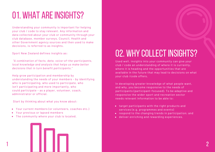### 01. WHAT ARE INSIGHTS?

Understanding your community is important for helping your club / code to stay relevant. Any information and data collected about your club or community through your club database, member surveys, Council, Health and other Government agency sources and then used to make decisions, is referred to as insights.

Sport New Zealand defines insights as:

*"A combination of facts, data, voice-of-the-participants, local knowledge and analysis that helps us make better decisions that in turn benefit participants."*

Help grow participation and membership by understanding the needs of your members - by identifying who is participating, who used to participate, who isn't participating and more importantly, who could participate – as a player, volunteer, coach, administrator or official.

Start by thinking about what you know about:

- Your current members (or volunteers, coaches etc.)
- Your previous or lapsed members
- The community where your club is located.

### 02. WHY COLLECT INSIGHTS?

Used well, insights into your community can give your club / code an understanding of where it is currently, where it is heading and the opportunities that are available in the future that may lead to decisions on what your club /code offers.

In developing greater knowledge of what people want, and why, you become responsive to the needs of participants (participant-focused). To be adaptive and responsive the wider sport and recreation sector needs relevant information to be able to:

- target participants with the right products and services (e.g. programmes and events)
- respond to the changing trends in participation; and
- deliver enriching and rewarding experiences.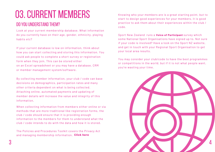### 03.CURRENT MEMBERS

#### DO YOU UNDERSTAND THEM?

Look at your current membership database. What information do you currently have on their age, gender, ethnicity, playing habits etc?

If your current database is low on information, think about how you can start collecting and storing this information. You could ask people to complete a short survey or registration form when they join. This can be stored either on an Excel spreadsheet or you may have a database, CRM or member management system/software.

By collecting member information, your club / code can base decisions on demographics, participation rates and many other criteria dependent on what is being collected. Attaching online, automated payments and updating of member details will increase the value and integrity of this information.

When collecting information from members either online or via methods that are more traditional like registration forms, the club / code should ensure that it is providing enough information to the members for them to understand what the club / code intends to do with the data and how it is stored.

The Policies and Procedures Toolkit covers the Privacy Act and managing membership information. **[Click](https://aktive.org.nz/sector-development/managing-your-organisation/policies-and-procedures/) here**

Knowing who your members are is a great starting point, but to start to design good experiences for your members, it is good practice to ask them about their experiences within the club / code.

Sport New Zealand runs a **Voice of [Participant](https://sportnz.org.nz/managing-sport/research-and-insights/voice-of-participant/)** survey which some National Sport [Organisations](https://blog.hootsuite.com/facebook-algorithm/) have signed up to. Not sure if your code is involved? Have a look on the Sport NZ website, and get in touch with your Regional Sport Organisation to get your local area results.

You may consider your club/code to have the best programmes or competitions in the world, but if it is not what people want, you're wasting your time.

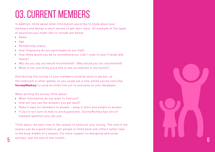### 03.CURRENT MEMBERS

In addition, think about what information you'd like to know about your members and design a short survey to get their input. An example of the types of questions you might like to include are below:

- Name
- $\bullet$ Age
- Membership status
- How frequently do you participate at our club?
- How likely would you be to recommend our club / code to your friends and family?
- Why do you say you would recommend? / Why would you not recommend?
- What is the one thing you'd like to see us improve in the future?

Distributing this survey to your members could be done in person, at the clubroom or after games, or you could use a free online survey tool (like Survey Monkey) to send an email link out to everyone on your database. **[SurveyMonkey](https://www.surveymonkey.com/)**

When writing the survey think about:

- What information do you want to find out?
- How will you use the answers you get back?  $\bullet$
- Make it easy for members to answer keep it short and simple to answer  $\bullet$
- If you're not sure on how to word questions, SurveyMonkey has lots of example question you can use.

Think about the best time in the season to send out your survey. The end of the season can be a good time to get people to think back and reflect rather than in the busy middle of a season. For more support on designing and using  $5$  surveys, see the end of this toolkit.  $6$ 

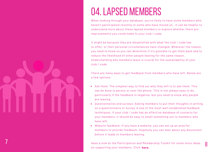

7

### 04. LAPSED MEMBERS

When looking through your database, you're likely to have some members who haven't participated recently or some who have moved on. It can be helpful to understand more about these lapsed members to explore whether there are improvements you could make to your club / code.

It might be because they are dissatisfied with what the club / code has to offer, or their personal circumstances have changed. Whatever the reason, you need to know so you can determine if it's possible to get them back and to reduce the likelihood of other people leaving for the same reason. Understanding why members leave is crucial for the sustainability of your club / code.

There are many ways to get feedback from members who have left. Below are a few options:

- *Ask them:* The simplest way to find out why they left is to ask them. This can be done in person or over the phone. This is not always easy to do, particularly if the feedback is negative, but you need to know why people are leaving.
- *Questionnaires and surveys:* Asking members to put their thoughts in writing on a questionnaire or survey is one of the most well-established feedback techniques. If your club / code has an effective database of contacts for your members, it should be easy to email something out to members who have left.
- *Website feedback:* If you have a website, you can set up an area for members to provide feedback. Hopefully you can hear about any discontent before it leads to members leaving.

on supporting your members. Click [here.](https://aktive.org.nz/sector-development/managing-your-organisation/participation-and-membership/) Have a look at the Participation and Membership Toolkit for some more ideas

8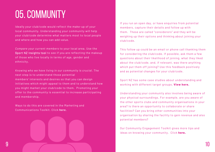### 05.COMMUNITY

Ideally your club/code would reflect the make-up of your local community. Understanding your community will help your club/code determine what matters most to local people and where and how you can add value.

*Compare your current members* to your local area. Use the Sport NZ Insights tool to see if you are [reflecting](https://sportnz.org.nz/managingsport/insights) the makeup of those who live locally in terms of age, gender and ethnicity.

*Knowing who we have living in our community is crucial.* The next step is to understand those potential members' interests and desires so that you can design initiatives which might appeal to them and to understand how you might market your club/code to them. Promoting your offer to the community is essential to increase participating and membership.

Ways to do this are covered in the Marketing and Communications Toolkit. Click here.

If you run an open day, or have enquiries from potential members, capture their details and follow up with them. These are called "considerers" and they will be weighing up their options and thinking about joining your club/code.

This follow up could be an email or phone call thanking them for considering the club/code. If possible, ask them a few questions about their likelihood of joining, what they liked about the club/code, and, if relevant, was there anything which put them off joining? Use this feedback positively and as potential changes for your club/code.

Sport NZ has some case studies about understanding and working with different target groups. View here.

Understanding your community also involves being aware of your physical surroundings. For example, are you aware of the other sports clubs and community organisations in your area? Is there an opportunity to collaborate or share [facilities?](https://aktive.org.nz/sector-development/managing-your-organisation/marketing-and-communications/) Can you bring other communities into your organisation by sharing the facility to gain revenue and also potential members? From and to understand now<br>
Working with different target groups. **View [here.](https://aktive.org.nz/sector-development/managing-your-organisation/community-engagement/)**<br>
Working with different target groups. **[View](https://sportnz.org.nz/about-us/who-we-are/what-were-working-towards/case-studies/) here.**<br>
Understanding your community also involves beir<br>
your physical surroundings. For example,

Our Community Engagement Toolkit gives more tips and ideas on knowing your community. Click here.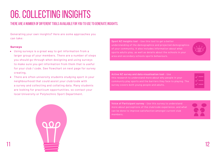### 06. COLLECTING INSIGHTS

#### THERE ARE A NUMBER OF DIFFERENT TOOLS AVAILABLE FOR YOU TO USE TO GENERATE INSIGHTS.

Generating your own insights? Here are some approaches you can take:

#### **Surveys**

11

- Using surveys is a great way to get information from a larger group of your members. There are a number of steps you should go through when designing and using surveys to make sure you get information from them that is useful for your club / code. See flowchart on next page for survey creating.
- There are often university students studying sport in your  $\bullet$ neighbourhood that could assist your club/code with a survey and collecting and collating data. Many students are looking for practicum opportunities, so contact your local University or Polytechnic Sport Department.

Sport NZ Insights tool - Use this tool to get a better understanding of the demographics and projected demographics of your community. It also includes information about what sports adults play, as well as details about the schools in your area and secondary schools sports behaviours.

Active NZ survey and data visualisation tool - Use this research to understand more about why people in your community play sports and the barriers they face to playing. The survey covers both young people and adults.

Voice of Participant survey - Use this survey to [understand](https://sportnz.org.nz/managing-sport/research-and-insights/voice-of-participant/) Voice more about perceptions of the club/code experience, and what can be done to improve satisfaction amongst current club members.

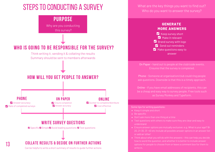### STEPS TO CONDUCTING A SURVEY



Can be helpful to write a short summary of results to guide further actions

What are the key things you want to find out? Who do you want to answer the survey?



On Paper - hand out to people at the club/code events. Ensures that the survey is completed.

Phone - Someone at organisation/club could ring people ask questions. Downside is that this is a timely approach.

Online - if you have email addresses of recipients, this can be a cheap and easy way to survey people. Free tools such as Survey Monkey and Typeform.

Some tips for writing questions:

- $\bullet$  Keep it simple and short
- Be specific
- Don't ask more than one thing at a time
- Test questions with others to make sure they are clear and easy to understand
- 20, 21-30, 31 -40 etc Include all possible answer options in an answer list or add an 'other'
- Think about what you will do with the answers this can help you decide how to word the question, and whether it is better to include answer write in.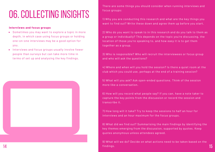### 06. COLLECTING INSIGHTS

#### **Interviews and focus groups**

- Sometimes you may want to explore a topic in more depth, in which case using focus groups or holding one-on-one interviews may be a good option for you.
- Interviews and focus groups usually involve fewer people than surveys but can take more time in terms of set up and analysing the key findings.



There are some things you should consider when running interviews and focus groups:

1) Why you are conducting this research and what are the key things you want to find out? Write these down and agree them up before you start.

2) Who do you want to speak to in this research and do you talk to them as a group or individually? This depends on the topic you're discussing, the location of those you're speaking to, and how easy it is to get them together as a group.

3) Who is responsible? Who will recruit the interviewees or focus group and who will ask the questions?

4) Where and when will you hold the session? Is there a quiet room at the club which you could use, perhaps at the end of a training session?

5) What will you ask? Ask open-ended questions. Think of the session more like a conversation.

6) How will you record what people say? If you can, have a note taker to capture the key points from the discussion or record the session and transcribe it.

7) How long will it take? Try to keep the sessions to half an hour for interviews and an hour maximum for the focus groups.

8) What did we find out? Summarising the main findings by identifying the key themes emerging from the discussion, supported by quotes. Keep quotes anonymous unless attendees agreed.

9) What will we do? Decide on what actions need to be taken based on the  $\frac{14}{15}$  findings.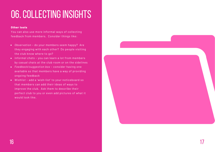### 06. COLLECTING INSIGHTS

#### **Other tools**

You can also use more informal ways of collecting feedback from members. Consider things like:

- *Observation* do your members seem happy? Are they engaging with each other? Do people visiting the club know where to go?
- *Informal chats* you can learn a lot from members by casual chats at the club room or on the sidelines
- *Feedback/suggestion box* consider having one available so that members have a way of providing ongoing feedback
- *Wishlist* add a 'wish-list' to your noticeboard so that members can add their ideas of ways to improve the club. Ask them to describe their perfect club to you or even add pictures of what it would look like.

 $16$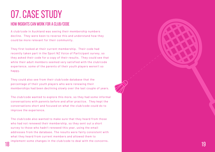### 07.CASESTUDY

#### How insights can work for a club/code

A club/code in Auckland was seeing their membership numbers decline. They were keen to reverse this and understand how they could be more relevant for their community.

They first looked at their current membership. Their code had recently taken part in the Sport NZ Voice of Participant survey, so they asked their code for a copy of their results. They could see that while their adult members seemed very satisfied with the club/code experience, some of the parents of their youth players weren't so happy.

They could also see from their club/code database that the percentage of their youth players who were renewing their memberships had been declining slowly over the last couple of years.

The club/code wanted to explore this more, so they had some informal conversations with parents before and after practice. They kept the conversations short and focused on what the club/code could do to improve the experience.

The club/code also wanted to make sure that they heard from those who had not renewed their membership, so they sent out a short survey to those who hadn't renewed this year, using the email addresses from the database. The results were fairly consistent with what they heard from current members and allowed them to